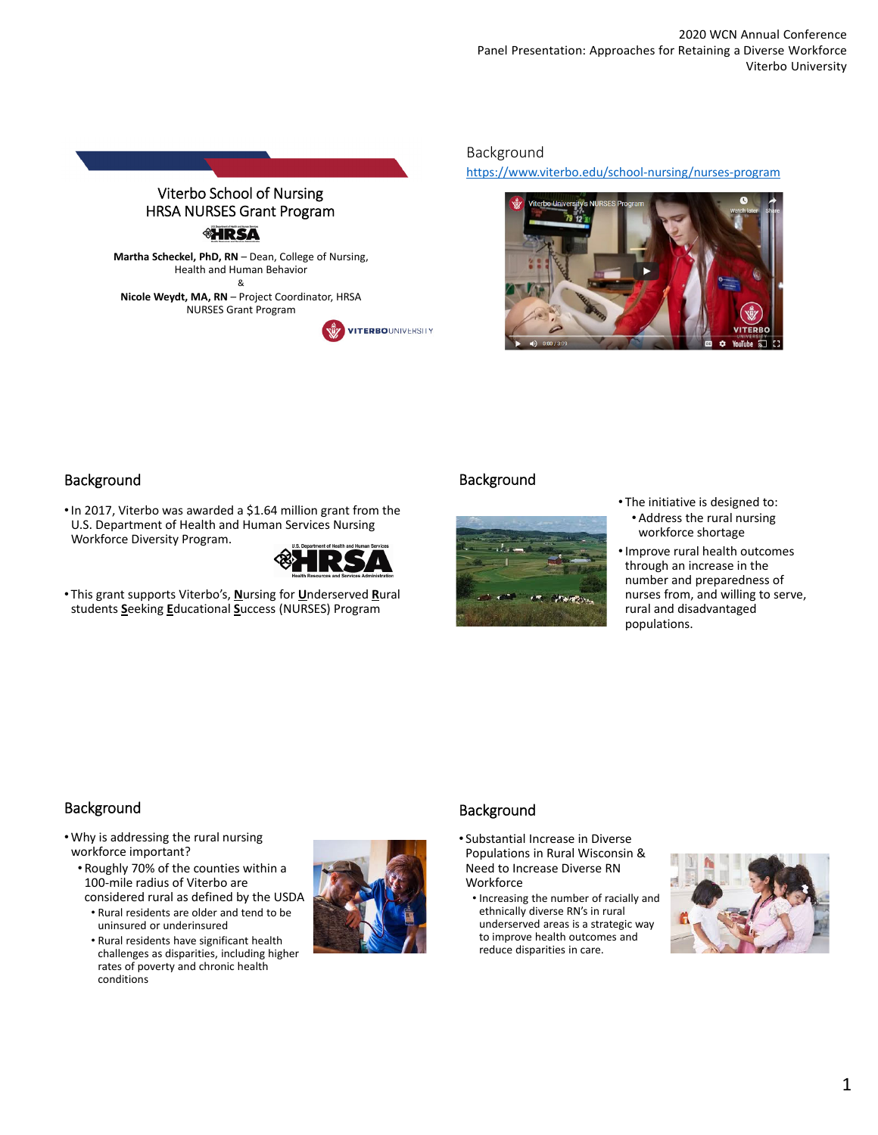

Background

https://www.viterbo.edu/school‐nursing/nurses‐program



## **Background**

•In 2017, Viterbo was awarded a \$1.64 million grant from the U.S. Department of Health and Human Services Nursing Workforce Diversity Program.



• This grant supports Viterbo's, **N**ursing for **U**nderserved **R**ural students **S**eeking **E**ducational **S**uccess (NURSES) Program

## Background



- The initiative is designed to: • Address the rural nursing workforce shortage
- •Improve rural health outcomes through an increase in the number and preparedness of nurses from, and willing to serve, rural and disadvantaged populations.

# Background

- Why is addressing the rural nursing workforce important?
	- Roughly 70% of the counties within a 100‐mile radius of Viterbo are considered rural as defined by the USDA
		- Rural residents are older and tend to be uninsured or underinsured
		- Rural residents have significant health challenges as disparities, including higher rates of poverty and chronic health conditions



# Background

- Substantial Increase in Diverse Populations in Rural Wisconsin & Need to Increase Diverse RN Workforce
	- Increasing the number of racially and ethnically diverse RN's in rural underserved areas is a strategic way to improve health outcomes and reduce disparities in care.